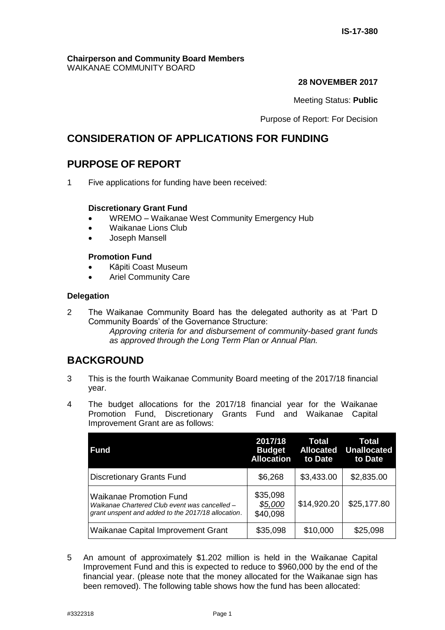#### **Chairperson and Community Board Members** WAIKANAE COMMUNITY BOARD

#### **28 NOVEMBER 2017**

Meeting Status: **Public**

Purpose of Report: For Decision

# **CONSIDERATION OF APPLICATIONS FOR FUNDING**

# **PURPOSE OF REPORT**

1 Five applications for funding have been received:

## **Discretionary Grant Fund**

- WREMO Waikanae West Community Emergency Hub
- Waikanae Lions Club
- Joseph Mansell

## **Promotion Fund**

- Kāpiti Coast Museum
- Ariel Community Care

## **Delegation**

2 The Waikanae Community Board has the delegated authority as at 'Part D Community Boards' of the Governance Structure: *Approving criteria for and disbursement of community-based grant funds as approved through the Long Term Plan or Annual Plan.* 

# **BACKGROUND**

- 3 This is the fourth Waikanae Community Board meeting of the 2017/18 financial year.
- 4 The budget allocations for the 2017/18 financial year for the Waikanae Promotion Fund, Discretionary Grants Fund and Waikanae Capital Improvement Grant are as follows:

| Fund                                                                                                                           | 2017/18<br><b>Budget</b><br><b>Allocation</b> | Total<br><b>Allocated</b><br>to Date | Total<br><b>Unallocated</b><br>to Date |
|--------------------------------------------------------------------------------------------------------------------------------|-----------------------------------------------|--------------------------------------|----------------------------------------|
| <b>Discretionary Grants Fund</b>                                                                                               | \$6,268                                       | \$3,433.00                           | \$2,835.00                             |
| Waikanae Promotion Fund<br>Waikanae Chartered Club event was cancelled -<br>grant unspent and added to the 2017/18 allocation. | \$35,098<br>\$5,000<br>\$40,098               | \$14,920.20                          | \$25,177.80                            |
| Waikanae Capital Improvement Grant                                                                                             | \$35,098                                      | \$10,000                             | \$25,098                               |

5 An amount of approximately \$1.202 million is held in the Waikanae Capital Improvement Fund and this is expected to reduce to \$960,000 by the end of the financial year. (please note that the money allocated for the Waikanae sign has been removed). The following table shows how the fund has been allocated: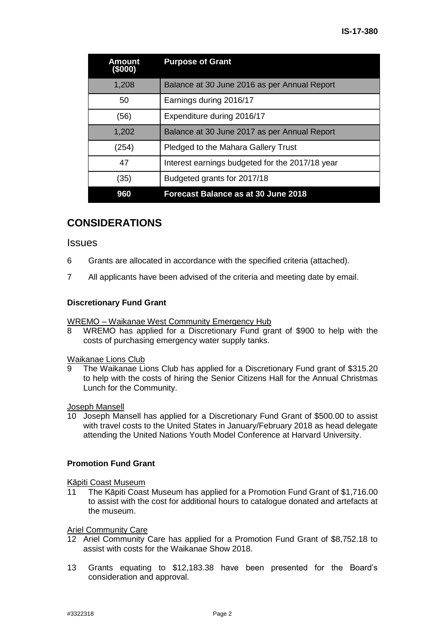| Amount<br>(\$000) | <b>Purpose of Grant</b>                         |
|-------------------|-------------------------------------------------|
| 1,208             | Balance at 30 June 2016 as per Annual Report    |
| 50                | Earnings during 2016/17                         |
| (56)              | Expenditure during 2016/17                      |
| 1,202             | Balance at 30 June 2017 as per Annual Report    |
| (254)             | Pledged to the Mahara Gallery Trust             |
| 47                | Interest earnings budgeted for the 2017/18 year |
| (35)              | Budgeted grants for 2017/18                     |
| 960               | <b>Forecast Balance as at 30 June 2018</b>      |

# **CONSIDERATIONS**

#### **Issues**

- 6 Grants are allocated in accordance with the specified criteria (attached).
- 7 All applicants have been advised of the criteria and meeting date by email.

#### **Discretionary Fund Grant**

WREMO – Waikanae West Community Emergency Hub

8 WREMO has applied for a Discretionary Fund grant of \$900 to help with the costs of purchasing emergency water supply tanks.

# Waikanae Lions Club<br>9 The Waikanae Li

The Waikanae Lions Club has applied for a Discretionary Fund grant of \$315.20 to help with the costs of hiring the Senior Citizens Hall for the Annual Christmas Lunch for the Community.

Joseph Mansell

10 Joseph Mansell has applied for a Discretionary Fund Grant of \$500.00 to assist with travel costs to the United States in January/February 2018 as head delegate attending the United Nations Youth Model Conference at Harvard University.

#### **Promotion Fund Grant**

Kāpiti Coast Museum

11 The Kāpiti Coast Museum has applied for a Promotion Fund Grant of \$1,716.00 to assist with the cost for additional hours to catalogue donated and artefacts at the museum.

#### Ariel Community Care

- 12 Ariel Community Care has applied for a Promotion Fund Grant of \$8,752.18 to assist with costs for the Waikanae Show 2018.
- 13 Grants equating to \$12,183.38 have been presented for the Board's consideration and approval.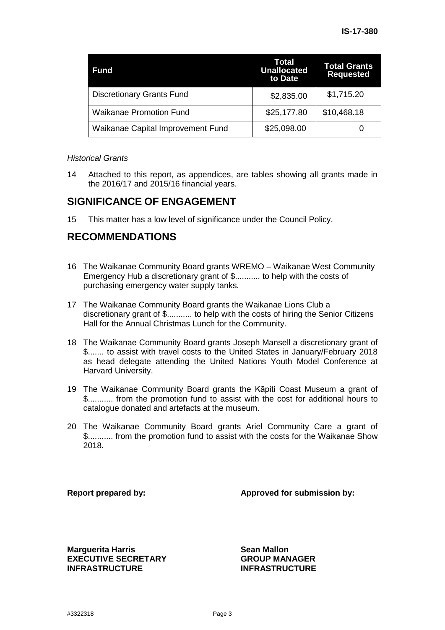| Fund                              | Total<br><b>Unallocated</b><br>to Date | <b>Total Grants</b><br><b>Requested</b> |
|-----------------------------------|----------------------------------------|-----------------------------------------|
| <b>Discretionary Grants Fund</b>  | \$2,835.00                             | \$1,715.20                              |
| <b>Waikanae Promotion Fund</b>    | \$25,177.80                            | \$10,468.18                             |
| Waikanae Capital Improvement Fund | \$25,098.00                            |                                         |

#### *Historical Grants*

14 Attached to this report, as appendices, are tables showing all grants made in the 2016/17 and 2015/16 financial years.

# **SIGNIFICANCE OF ENGAGEMENT**

15 This matter has a low level of significance under the Council Policy.

# **RECOMMENDATIONS**

- 16 The Waikanae Community Board grants WREMO Waikanae West Community Emergency Hub a discretionary grant of \$........... to help with the costs of purchasing emergency water supply tanks.
- 17 The Waikanae Community Board grants the Waikanae Lions Club a discretionary grant of \$........... to help with the costs of hiring the Senior Citizens Hall for the Annual Christmas Lunch for the Community.
- 18 The Waikanae Community Board grants Joseph Mansell a discretionary grant of \$....... to assist with travel costs to the United States in January/February 2018 as head delegate attending the United Nations Youth Model Conference at Harvard University.
- 19 The Waikanae Community Board grants the Kāpiti Coast Museum a grant of \$........... from the promotion fund to assist with the cost for additional hours to catalogue donated and artefacts at the museum.
- 20 The Waikanae Community Board grants Ariel Community Care a grant of \$........... from the promotion fund to assist with the costs for the Waikanae Show 2018.

**Report prepared by: Approved for submission by:**

**Marguerita Harris Communist Communist Communist Communist Communist Communist Communist Communist Communist Communist Communist Communist Communist Communist Communist Communist Communist Communist Communist Communist C EXECUTIVE SECRETARY INFRASTRUCTURE**

**GROUP MANAGER INFRASTRUCTURE**